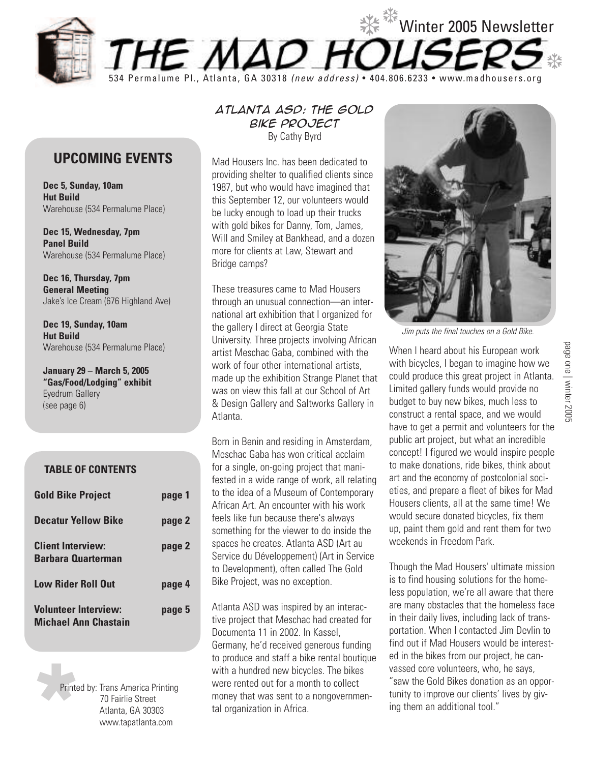

## **UPCOMING EVENTS**

**Dec 5, Sunday, 10am Hut Build** Warehouse (534 Permalume Place)

**Dec 15, Wednesday, 7pm Panel Build** Warehouse (534 Permalume Place)

**Dec 16, Thursday, 7pm General Meeting** Jake's Ice Cream (676 Highland Ave)

**Dec 19, Sunday, 10am Hut Build** Warehouse (534 Permalume Place)

**January 29 – March 5, 2005 "Gas/Food/Lodging" exhibit** Eyedrum Gallery (see page 6)

## **TABLE OF CONTENTS**

| <b>Gold Bike Project</b>                              | page 1 |
|-------------------------------------------------------|--------|
| <b>Decatur Yellow Bike</b>                            | page 2 |
| <b>Client Interview:</b><br><b>Barbara Quarterman</b> | page 2 |
| <b>Low Rider Roll Out</b>                             | page 4 |
| <b>Volunteer Interview:</b><br>Michael Ann Chastain   | page 5 |

Printe Printed by: Trans America Printing 70 Fairlie Street Atlanta, GA 30303 www.tapatlanta.com

*Atlanta ASD: The Gold Bike Project* By Cathy Byrd

Mad Housers Inc. has been dedicated to providing shelter to qualified clients since 1987, but who would have imagined that this September 12, our volunteers would be lucky enough to load up their trucks with gold bikes for Danny, Tom, James, Will and Smiley at Bankhead, and a dozen more for clients at Law, Stewart and Bridge camps?

These treasures came to Mad Housers through an unusual connection—an international art exhibition that I organized for the gallery I direct at Georgia State University. Three projects involving African artist Meschac Gaba, combined with the work of four other international artists, made up the exhibition Strange Planet that was on view this fall at our School of Art & Design Gallery and Saltworks Gallery in Atlanta.

Born in Benin and residing in Amsterdam, Meschac Gaba has won critical acclaim for a single, on-going project that manifested in a wide range of work, all relating to the idea of a Museum of Contemporary African Art. An encounter with his work feels like fun because there's always something for the viewer to do inside the spaces he creates. Atlanta ASD (Art au Service du Développement) (Art in Service to Development), often called The Gold Bike Project, was no exception.

Atlanta ASD was inspired by an interactive project that Meschac had created for Documenta 11 in 2002. In Kassel, Germany, he'd received generous funding to produce and staff a bike rental boutique with a hundred new bicycles. The bikes were rented out for a month to collect money that was sent to a nongovernmental organization in Africa.



Jim puts the final touches on a Gold Bike.

When I heard about his European work with bicycles, I began to imagine how we could produce this great project in Atlanta. Limited gallery funds would provide no budget to buy new bikes, much less to construct a rental space, and we would have to get a permit and volunteers for the public art project, but what an incredible concept! I figured we would inspire people to make donations, ride bikes, think about art and the economy of postcolonial societies, and prepare a fleet of bikes for Mad Housers clients, all at the same time! We would secure donated bicycles, fix them up, paint them gold and rent them for two weekends in Freedom Park.

Though the Mad Housers' ultimate mission is to find housing solutions for the homeless population, we're all aware that there are many obstacles that the homeless face in their daily lives, including lack of transportation. When I contacted Jim Devlin to find out if Mad Housers would be interested in the bikes from our project, he canvassed core volunteers, who, he says, "saw the Gold Bikes donation as an opportunity to improve our clients' lives by giving them an additional tool."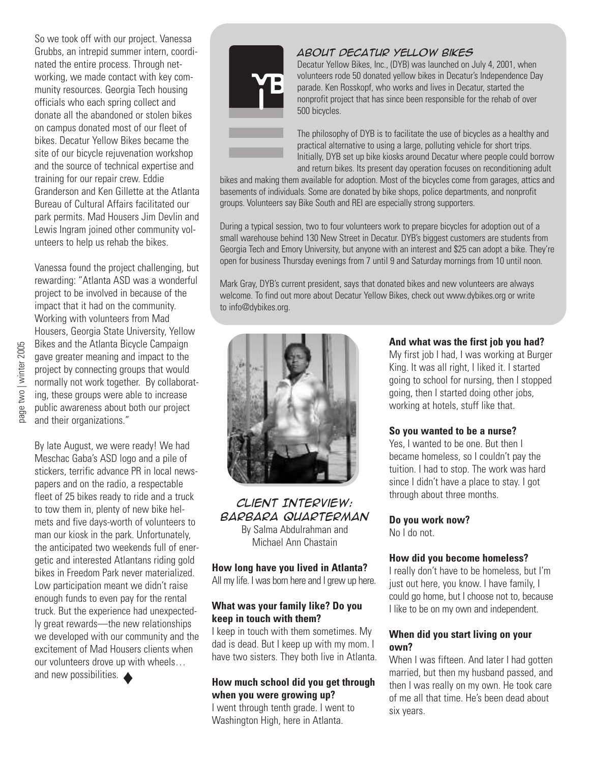So we took off with our project. Vanessa Grubbs, an intrepid summer intern, coordinated the entire process. Through networking, we made contact with key community resources. Georgia Tech housing officials who each spring collect and donate all the abandoned or stolen bikes on campus donated most of our fleet of bikes. Decatur Yellow Bikes became the site of our bicycle rejuvenation workshop and the source of technical expertise and training for our repair crew. Eddie Granderson and Ken Gillette at the Atlanta Bureau of Cultural Affairs facilitated our park permits. Mad Housers Jim Devlin and Lewis Ingram joined other community volunteers to help us rehab the bikes.

Vanessa found the project challenging, but rewarding: "Atlanta ASD was a wonderful project to be involved in because of the impact that it had on the community. Working with volunteers from Mad Housers, Georgia State University, Yellow Bikes and the Atlanta Bicycle Campaign gave greater meaning and impact to the project by connecting groups that would normally not work together. By collaborating, these groups were able to increase public awareness about both our project and their organizations."

By late August, we were ready! We had Meschac Gaba's ASD logo and a pile of stickers, terrific advance PR in local newspapers and on the radio, a respectable fleet of 25 bikes ready to ride and a truck to tow them in, plenty of new bike helmets and five days-worth of volunteers to man our kiosk in the park. Unfortunately, the anticipated two weekends full of energetic and interested Atlantans riding gold bikes in Freedom Park never materialized. Low participation meant we didn't raise enough funds to even pay for the rental truck. But the experience had unexpectedly great rewards—the new relationships we developed with our community and the excitement of Mad Housers clients when our volunteers drove up with wheels… and new possibilities.

*About Decatur Yellow Bikes*



Decatur Yellow Bikes, Inc., (DYB) was launched on July 4, 2001, when volunteers rode 50 donated yellow bikes in Decatur's Independence Day parade. Ken Rosskopf, who works and lives in Decatur, started the nonprofit project that has since been responsible for the rehab of over 500 bicycles.

The philosophy of DYB is to facilitate the use of bicycles as a healthy and practical alternative to using a large, polluting vehicle for short trips. Initially, DYB set up bike kiosks around Decatur where people could borrow and return bikes. Its present day operation focuses on reconditioning adult

bikes and making them available for adoption. Most of the bicycles come from garages, attics and basements of individuals. Some are donated by bike shops, police departments, and nonprofit groups. Volunteers say Bike South and REI are especially strong supporters.

During a typical session, two to four volunteers work to prepare bicycles for adoption out of a small warehouse behind 130 New Street in Decatur. DYB's biggest customers are students from Georgia Tech and Emory University, but anyone with an interest and \$25 can adopt a bike. They're open for business Thursday evenings from 7 until 9 and Saturday mornings from 10 until noon.

Mark Gray, DYB's current president, says that donated bikes and new volunteers are always welcome. To find out more about Decatur Yellow Bikes, check out www.dybikes.org or write to info@dybikes.org.



#### *Client Interview: Barbara Quarterman* By Salma Abdulrahman and Michael Ann Chastain

**How long have you lived in Atlanta?** All my life. I was born here and I grew up here.

#### **What was your family like? Do you keep in touch with them?**

I keep in touch with them sometimes. My dad is dead. But I keep up with my mom. I have two sisters. They both live in Atlanta.

## **How much school did you get through when you were growing up?**

I went through tenth grade. I went to Washington High, here in Atlanta.

#### **And what was the first job you had?**

My first job I had, I was working at Burger King. It was all right, I liked it. I started going to school for nursing, then I stopped going, then I started doing other jobs, working at hotels, stuff like that.

#### **So you wanted to be a nurse?**

Yes, I wanted to be one. But then I became homeless, so I couldn't pay the tuition. I had to stop. The work was hard since I didn't have a place to stay. I got through about three months.

#### **Do you work now?**

No I do not.

#### **How did you become homeless?**

I really don't have to be homeless, but I'm just out here, you know. I have family, I could go home, but I choose not to, because I like to be on my own and independent.

#### **When did you start living on your own?**

When I was fifteen. And later I had gotten married, but then my husband passed, and then I was really on my own. He took care of me all that time. He's been dead about six years.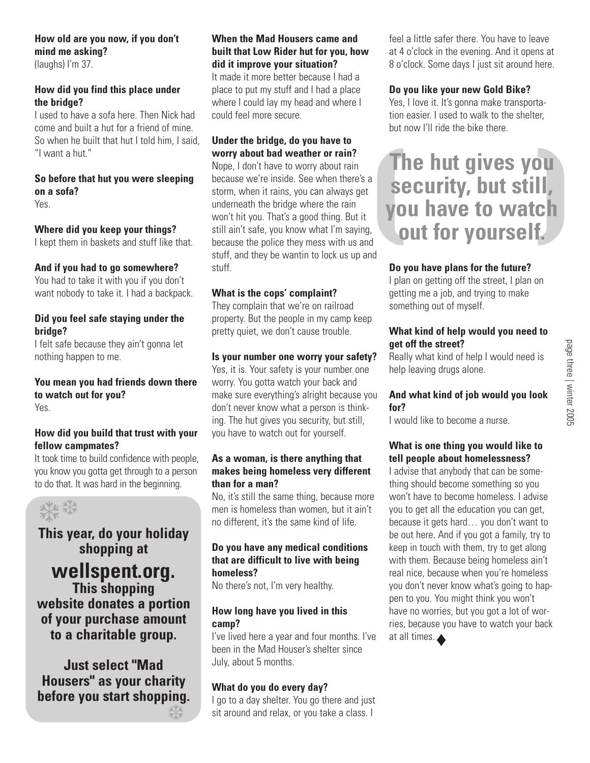## **How old are you now, if you don't mind me asking?**

(laughs) I'm 37.

## **How did you find this place under the bridge?**

I used to have a sofa here. Then Nick had come and built a hut for a friend of mine. So when he built that hut I told him, I said, "I want a hut."

## **So before that hut you were sleeping on a sofa?**

Yes.

## **Where did you keep your things?**

I kept them in baskets and stuff like that.

## **And if you had to go somewhere?**

You had to take it with you if you don't want nobody to take it. I had a backpack.

#### **Did you feel safe staying under the bridge?**

I felt safe because they ain't gonna let nothing happen to me.

#### **You mean you had friends down there to watch out for you?** Yes.

## **How did you build that trust with your fellow campmates?**

It took time to build confidence with people, you know you gotta get through to a person to do that. It was hard in the beginning.



# **This year, do your holiday shopping at**

**wellspent.org. This shopping website donates a portion of your purchase amount to a charitable group.**

**Just select "Mad Housers" as your charity before you start shopping.** ❆

## **When the Mad Housers came and built that Low Rider hut for you, how did it improve your situation?**

It made it more better because I had a place to put my stuff and I had a place where I could lay my head and where I could feel more secure.

## **Under the bridge, do you have to worry about bad weather or rain?**

Nope, I don't have to worry about rain because we're inside. See when there's a storm, when it rains, you can always get underneath the bridge where the rain won't hit you. That's a good thing. But it still ain't safe, you know what I'm saying, because the police they mess with us and stuff, and they be wantin to lock us up and stuff.

## **What is the cops' complaint?**

They complain that we're on railroad property. But the people in my camp keep pretty quiet, we don't cause trouble.

## **Is your number one worry your safety?**

Yes, it is. Your safety is your number one worry. You gotta watch your back and make sure everything's alright because you don't never know what a person is thinking. The hut gives you security, but still, you have to watch out for yourself.

#### **As a woman, is there anything that makes being homeless very different than for a man?**

No, it's still the same thing, because more men is homeless than women, but it ain't no different, it's the same kind of life.

#### **Do you have any medical conditions that are difficult to live with being homeless?**

No there's not, I'm very healthy.

## **How long have you lived in this camp?**

I've lived here a year and four months. I've been in the Mad Houser's shelter since July, about 5 months.

## **What do you do every day?**

I go to a day shelter. You go there and just sit around and relax, or you take a class. I

feel a little safer there. You have to leave at 4 o'clock in the evening. And it opens at 8 o'clock. Some days I just sit around here.

## **Do you like your new Gold Bike?**

Yes, I love it. It's gonna make transportation easier. I used to walk to the shelter, but now I'll ride the bike there.

# ( ) **The hut gives you security, but still, you have to watch out for yourself.**

## **Do you have plans for the future?**

I plan on getting off the street, I plan on getting me a job, and trying to make something out of myself.

## **What kind of help would you need to get off the street?**

Really what kind of help I would need is help leaving drugs alone.

#### **And what kind of job would you look for?**

I would like to become a nurse.

#### **What is one thing you would like to tell people about homelessness?**

I advise that anybody that can be something should become something so you won't have to become homeless. I advise you to get all the education you can get, because it gets hard… you don't want to be out here. And if you got a family, try to keep in touch with them, try to get along with them. Because being homeless ain't real nice, because when you're homeless you don't never know what's going to happen to you. You might think you won't have no worries, but you got a lot of worries, because you have to watch your back at all times. ♦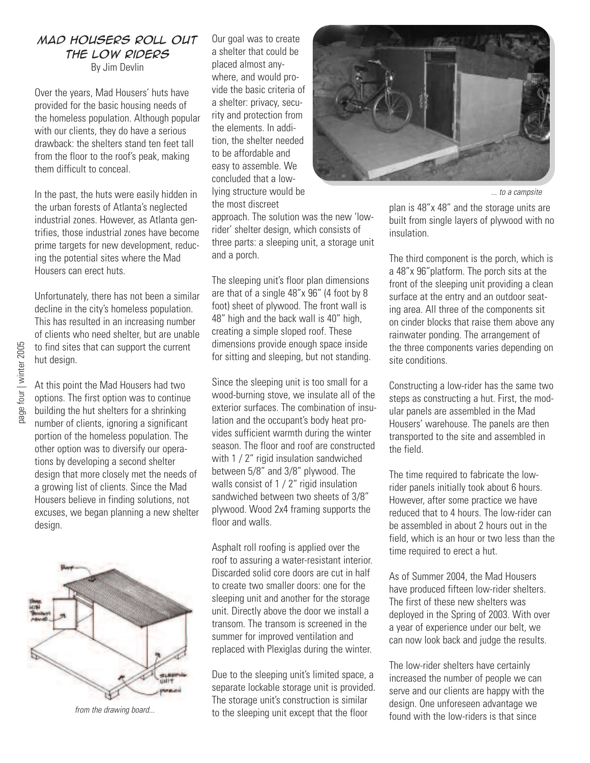# *Mad Housers Roll Out the Low Riders*

By Jim Devlin

Over the years, Mad Housers' huts have provided for the basic housing needs of the homeless population. Although popular with our clients, they do have a serious drawback: the shelters stand ten feet tall from the floor to the roof's peak, making them difficult to conceal.

In the past, the huts were easily hidden in the urban forests of Atlanta's neglected industrial zones. However, as Atlanta gentrifies, those industrial zones have become prime targets for new development, reducing the potential sites where the Mad Housers can erect huts.

Unfortunately, there has not been a similar decline in the city's homeless population. This has resulted in an increasing number of clients who need shelter, but are unable to find sites that can support the current hut design.

At this point the Mad Housers had two options. The first option was to continue building the hut shelters for a shrinking number of clients, ignoring a significant portion of the homeless population. The other option was to diversify our operations by developing a second shelter design that more closely met the needs of a growing list of clients. Since the Mad Housers believe in finding solutions, not excuses, we began planning a new shelter design.



from the drawing board...

Our goal was to create a shelter that could be placed almost anywhere, and would provide the basic criteria of a shelter: privacy, security and protection from the elements. In addition, the shelter needed to be affordable and easy to assemble. We concluded that a lowlying structure would be the most discreet

approach. The solution was the new 'lowrider' shelter design, which consists of three parts: a sleeping unit, a storage unit and a porch.

The sleeping unit's floor plan dimensions are that of a single 48"x 96" (4 foot by 8 foot) sheet of plywood. The front wall is 48" high and the back wall is 40" high, creating a simple sloped roof. These dimensions provide enough space inside for sitting and sleeping, but not standing.

Since the sleeping unit is too small for a wood-burning stove, we insulate all of the exterior surfaces. The combination of insulation and the occupant's body heat provides sufficient warmth during the winter season. The floor and roof are constructed with 1 / 2" rigid insulation sandwiched between 5/8" and 3/8" plywood. The walls consist of 1 / 2" rigid insulation sandwiched between two sheets of 3/8" plywood. Wood 2x4 framing supports the floor and walls.

Asphalt roll roofing is applied over the roof to assuring a water-resistant interior. Discarded solid core doors are cut in half to create two smaller doors: one for the sleeping unit and another for the storage unit. Directly above the door we install a transom. The transom is screened in the summer for improved ventilation and replaced with Plexiglas during the winter.

Due to the sleeping unit's limited space, a separate lockable storage unit is provided. The storage unit's construction is similar to the sleeping unit except that the floor



... to a campsite

plan is 48"x 48" and the storage units are built from single layers of plywood with no insulation.

The third component is the porch, which is a 48"x 96"platform. The porch sits at the front of the sleeping unit providing a clean surface at the entry and an outdoor seating area. All three of the components sit on cinder blocks that raise them above any rainwater ponding. The arrangement of the three components varies depending on site conditions.

Constructing a low-rider has the same two steps as constructing a hut. First, the modular panels are assembled in the Mad Housers' warehouse. The panels are then transported to the site and assembled in the field.

The time required to fabricate the lowrider panels initially took about 6 hours. However, after some practice we have reduced that to 4 hours. The low-rider can be assembled in about 2 hours out in the field, which is an hour or two less than the time required to erect a hut.

As of Summer 2004, the Mad Housers have produced fifteen low-rider shelters. The first of these new shelters was deployed in the Spring of 2003. With over a year of experience under our belt, we can now look back and judge the results.

The low-rider shelters have certainly increased the number of people we can serve and our clients are happy with the design. One unforeseen advantage we found with the low-riders is that since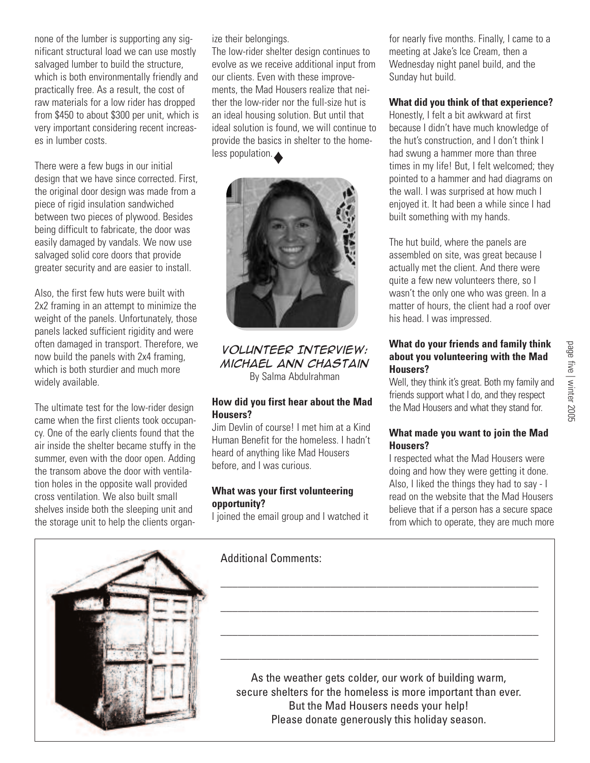none of the lumber is supporting any significant structural load we can use mostly salvaged lumber to build the structure, which is both environmentally friendly and practically free. As a result, the cost of raw materials for a low rider has dropped from \$450 to about \$300 per unit, which is very important considering recent increases in lumber costs.

There were a few bugs in our initial design that we have since corrected. First, the original door design was made from a piece of rigid insulation sandwiched between two pieces of plywood. Besides being difficult to fabricate, the door was easily damaged by vandals. We now use salvaged solid core doors that provide greater security and are easier to install.

Also, the first few huts were built with 2x2 framing in an attempt to minimize the weight of the panels. Unfortunately, those panels lacked sufficient rigidity and were often damaged in transport. Therefore, we now build the panels with 2x4 framing, which is both sturdier and much more widely available.

The ultimate test for the low-rider design came when the first clients took occupancy. One of the early clients found that the air inside the shelter became stuffy in the summer, even with the door open. Adding the transom above the door with ventilation holes in the opposite wall provided cross ventilation. We also built small shelves inside both the sleeping unit and the storage unit to help the clients organize their belongings.

The low-rider shelter design continues to evolve as we receive additional input from our clients. Even with these improvements, the Mad Housers realize that neither the low-rider nor the full-size hut is an ideal housing solution. But until that ideal solution is found, we will continue to provide the basics in shelter to the homeless population.



*Volunteer Interview: Michael Ann Chastain* By Salma Abdulrahman

#### **How did you first hear about the Mad Housers?**

Jim Devlin of course! I met him at a Kind Human Benefit for the homeless. I hadn't heard of anything like Mad Housers before, and I was curious.

## **What was your first volunteering opportunity?**

I joined the email group and I watched it

for nearly five months. Finally, I came to a meeting at Jake's Ice Cream, then a Wednesday night panel build, and the Sunday hut build.

## **What did you think of that experience?**

Honestly, I felt a bit awkward at first because I didn't have much knowledge of the hut's construction, and I don't think I had swung a hammer more than three times in my life! But, I felt welcomed; they pointed to a hammer and had diagrams on the wall. I was surprised at how much I enjoyed it. It had been a while since I had built something with my hands.

The hut build, where the panels are assembled on site, was great because I actually met the client. And there were quite a few new volunteers there, so I wasn't the only one who was green. In a matter of hours, the client had a roof over his head. I was impressed.

## **What do your friends and family think about you volunteering with the Mad Housers?**

Well, they think it's great. Both my family and friends support what I do, and they respect the Mad Housers and what they stand for.

## **What made you want to join the Mad Housers?**

I respected what the Mad Housers were doing and how they were getting it done. Also, I liked the things they had to say - I read on the website that the Mad Housers believe that if a person has a secure space from which to operate, they are much more



Additional Comments:

As the weather gets colder, our work of building warm, secure shelters for the homeless is more important than ever. But the Mad Housers needs your help! Please donate generously this holiday season.

\_\_\_\_\_\_\_\_\_\_\_\_\_\_\_\_\_\_\_\_\_\_\_\_\_\_\_\_\_\_\_\_\_\_\_\_\_\_\_\_\_\_\_\_\_\_\_\_\_\_\_\_\_\_\_

\_\_\_\_\_\_\_\_\_\_\_\_\_\_\_\_\_\_\_\_\_\_\_\_\_\_\_\_\_\_\_\_\_\_\_\_\_\_\_\_\_\_\_\_\_\_\_\_\_\_\_\_\_\_\_

\_\_\_\_\_\_\_\_\_\_\_\_\_\_\_\_\_\_\_\_\_\_\_\_\_\_\_\_\_\_\_\_\_\_\_\_\_\_\_\_\_\_\_\_\_\_\_\_\_\_\_\_\_\_\_

\_\_\_\_\_\_\_\_\_\_\_\_\_\_\_\_\_\_\_\_\_\_\_\_\_\_\_\_\_\_\_\_\_\_\_\_\_\_\_\_\_\_\_\_\_\_\_\_\_\_\_\_\_\_\_